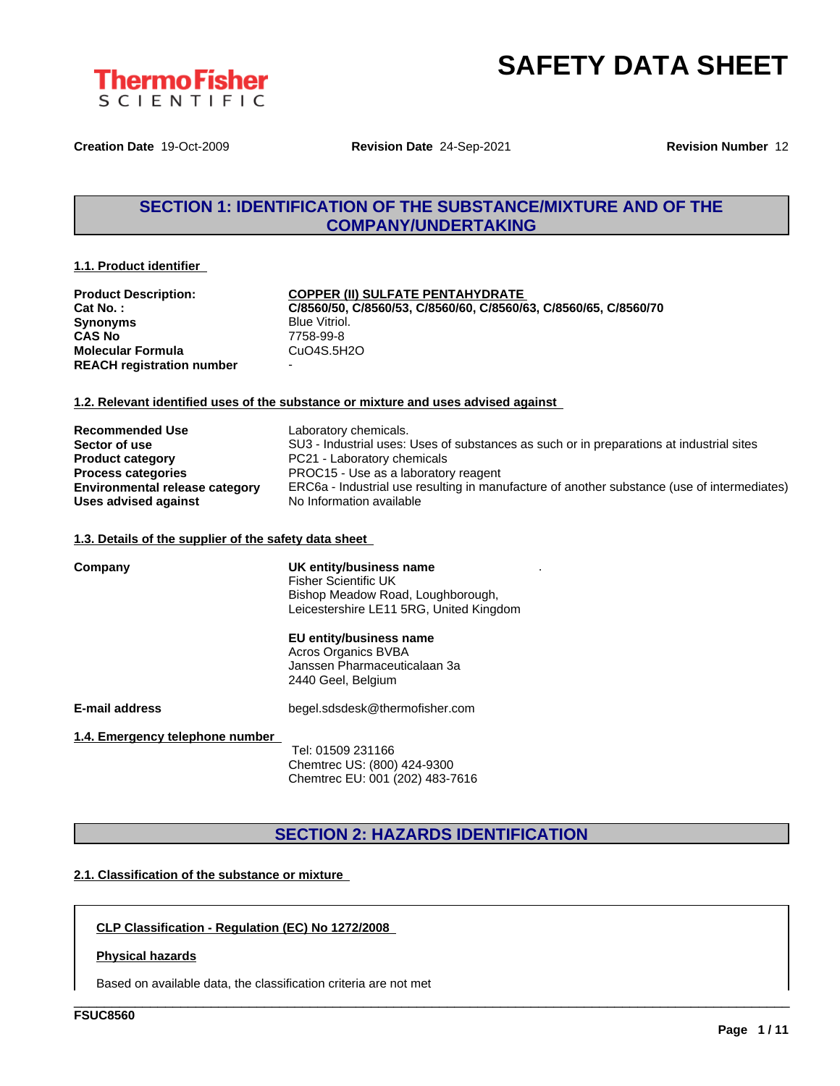

**Creation Date** 19-Oct-2009 **Revision Date** 24-Sep-2021 **Revision Number** 12

# **SECTION 1: IDENTIFICATION OF THE SUBSTANCE/MIXTURE AND OF THE COMPANY/UNDERTAKING**

#### **1.1. Product identifier**

| <b>Product Description:</b>      | <b>COPPER (II) SULFATE PENTAHYDRATE</b>                          |
|----------------------------------|------------------------------------------------------------------|
| Cat No.:                         | C/8560/50, C/8560/53, C/8560/60, C/8560/63, C/8560/65, C/8560/70 |
| <b>Synonyms</b>                  | Blue Vitriol.                                                    |
| <b>CAS No</b>                    | 7758-99-8                                                        |
| <b>Molecular Formula</b>         | CuO4S.5H2O                                                       |
| <b>REACH registration number</b> | $\blacksquare$                                                   |

#### **1.2. Relevant identified uses of the substance or mixture and uses advised against**

| <b>Recommended Use</b>                | Laboratory chemicals.                                                                       |
|---------------------------------------|---------------------------------------------------------------------------------------------|
| Sector of use                         | SU3 - Industrial uses: Uses of substances as such or in preparations at industrial sites    |
| <b>Product category</b>               | PC21 - Laboratory chemicals                                                                 |
| <b>Process categories</b>             | PROC15 - Use as a laboratory reagent                                                        |
| <b>Environmental release category</b> | ERC6a - Industrial use resulting in manufacture of another substance (use of intermediates) |
| Uses advised against                  | No Information available                                                                    |

#### **1.3. Details of the supplier of the safety data sheet**

| Company                         | UK entity/business name<br><b>Fisher Scientific UK</b><br>Bishop Meadow Road, Loughborough,<br>Leicestershire LE11 5RG, United Kingdom |  |  |  |
|---------------------------------|----------------------------------------------------------------------------------------------------------------------------------------|--|--|--|
|                                 | EU entity/business name<br>Acros Organics BVBA<br>Janssen Pharmaceuticalaan 3a<br>2440 Geel, Belgium                                   |  |  |  |
| <b>E-mail address</b>           | begel.sdsdesk@thermofisher.com                                                                                                         |  |  |  |
| 1.4. Emergency telephone number | Tel: 01509 231166<br>Chemtrec US: (800) 424-9300<br>Chemtrec EU: 001 (202) 483-7616                                                    |  |  |  |

# **SECTION 2: HAZARDS IDENTIFICATION**

\_\_\_\_\_\_\_\_\_\_\_\_\_\_\_\_\_\_\_\_\_\_\_\_\_\_\_\_\_\_\_\_\_\_\_\_\_\_\_\_\_\_\_\_\_\_\_\_\_\_\_\_\_\_\_\_\_\_\_\_\_\_\_\_\_\_\_\_\_\_\_\_\_\_\_\_\_\_\_\_\_\_\_\_\_\_\_\_\_\_\_\_\_\_

### **2.1. Classification of the substance or mixture**

### **CLP Classification - Regulation (EC) No 1272/2008**

#### **Physical hazards**

Based on available data, the classification criteria are not met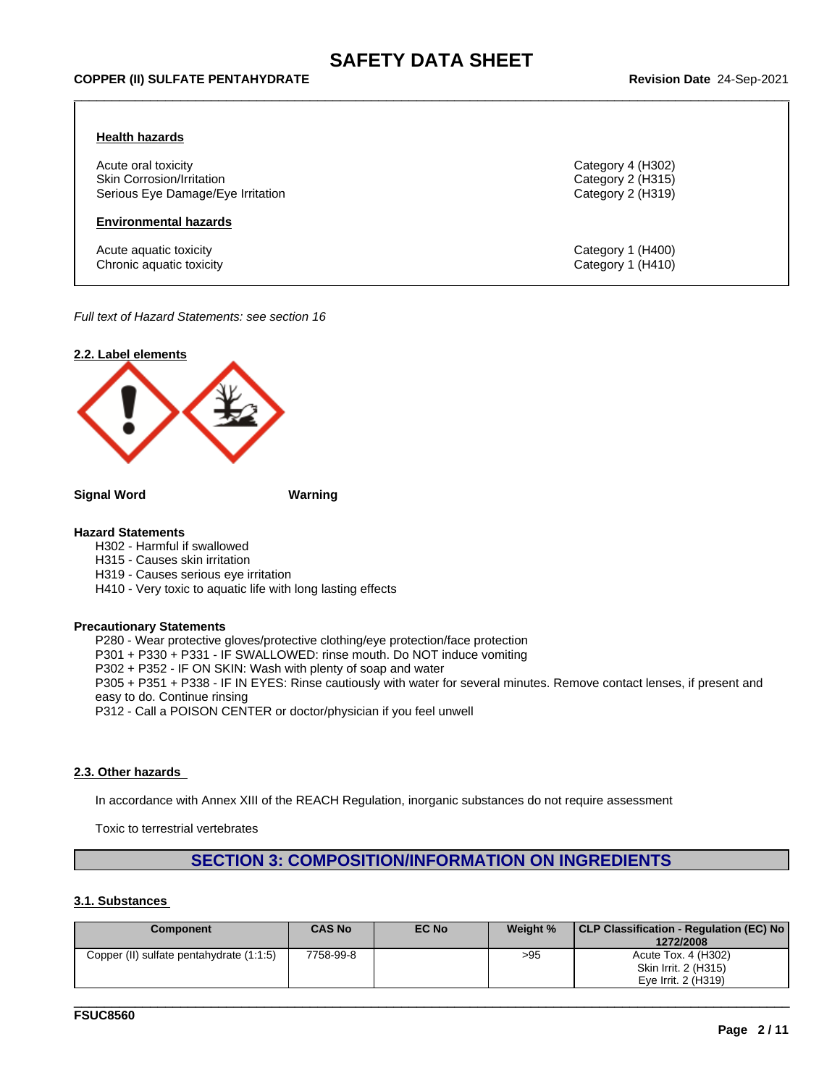#### \_\_\_\_\_\_\_\_\_\_\_\_\_\_\_\_\_\_\_\_\_\_\_\_\_\_\_\_\_\_\_\_\_\_\_\_\_\_\_\_\_\_\_\_\_\_\_\_\_\_\_\_\_\_\_\_\_\_\_\_\_\_\_\_\_\_\_\_\_\_\_\_\_\_\_\_\_\_\_\_\_\_\_\_\_\_\_\_\_\_\_\_\_\_ **COPPER (II) SULFATE PENTAHYDRATE Revision Date** 24-Sep-2021

#### **Health hazards**

Acute oral toxicity Category 4 (H302) Skin Corrosion/Irritation **Category 2 (H315)** Category 2 (H315) Serious Eye Damage/Eye Irritation Category 2 (H319)

#### **Environmental hazards**

Acute aquatic toxicity Category 1 (H400) Chronic aquatic toxicity Chronic aquatic toxicity Category 1 (H410)

*Full text of Hazard Statements: see section 16*



**Signal Word Warning**

#### **Hazard Statements**

- H302 Harmful if swallowed
- H315 Causes skin irritation
- H319 Causes serious eye irritation
- H410 Very toxic to aquatic life with long lasting effects

#### **Precautionary Statements**

P280 - Wear protective gloves/protective clothing/eye protection/face protection

P301 + P330 + P331 - IF SWALLOWED: rinse mouth. Do NOT induce vomiting

P302 + P352 - IF ON SKIN: Wash with plenty of soap and water

P305 + P351 + P338 - IF IN EYES: Rinse cautiously with water for several minutes. Remove contact lenses, if present and easy to do. Continue rinsing

P312 - Call a POISON CENTER or doctor/physician if you feel unwell

#### **2.3. Other hazards**

In accordance with Annex XIII of the REACH Regulation, inorganic substances do not require assessment

Toxic to terrestrial vertebrates

# **SECTION 3: COMPOSITION/INFORMATION ON INGREDIENTS**

#### **3.1. Substances**

| Component                                | <b>CAS No</b> | <b>EC No</b> | Weight % | CLP Classification - Regulation (EC) No<br>1272/2008               |
|------------------------------------------|---------------|--------------|----------|--------------------------------------------------------------------|
| Copper (II) sulfate pentahydrate (1:1:5) | 7758-99-8     |              | >95      | Acute Tox. 4 (H302)<br>Skin Irrit. 2 (H315)<br>Eve Irrit. 2 (H319) |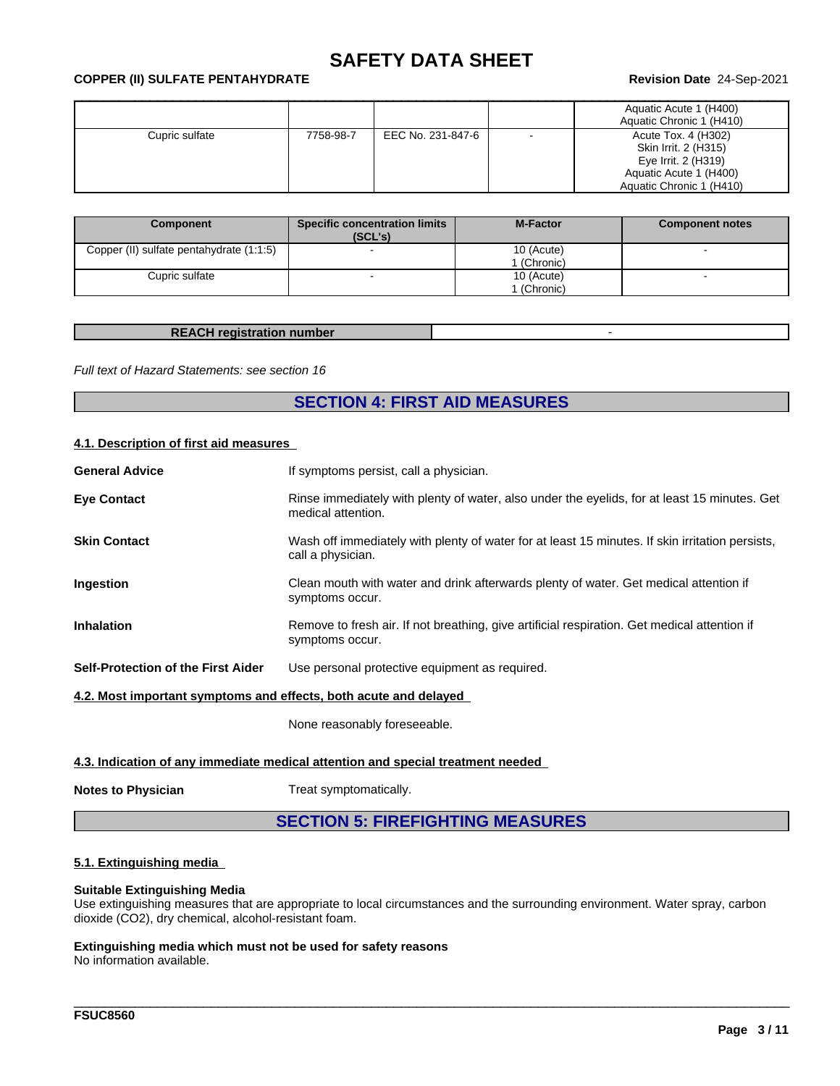#### \_\_\_\_\_\_\_\_\_\_\_\_\_\_\_\_\_\_\_\_\_\_\_\_\_\_\_\_\_\_\_\_\_\_\_\_\_\_\_\_\_\_\_\_\_\_\_\_\_\_\_\_\_\_\_\_\_\_\_\_\_\_\_\_\_\_\_\_\_\_\_\_\_\_\_\_\_\_\_\_\_\_\_\_\_\_\_\_\_\_\_\_\_\_ **COPPER (II) SULFATE PENTAHYDRATE Revision Date** 24-Sep-2021

|                |           |                   | Aquatic Acute 1 (H400)<br>Aquatic Chronic 1 (H410)                                                                       |
|----------------|-----------|-------------------|--------------------------------------------------------------------------------------------------------------------------|
| Cupric sulfate | 7758-98-7 | EEC No. 231-847-6 | Acute Tox. 4 (H302)<br>Skin Irrit. 2 (H315)<br>Eye Irrit. 2 (H319)<br>Aquatic Acute 1 (H400)<br>Aquatic Chronic 1 (H410) |

| <b>Component</b>                         | <b>Specific concentration limits</b><br>(SCL's) | <b>M-Factor</b>           | <b>Component notes</b> |
|------------------------------------------|-------------------------------------------------|---------------------------|------------------------|
| Copper (II) sulfate pentahydrate (1:1:5) |                                                 | 10 (Acute)<br>(Chronic)   |                        |
| Cupric sulfate                           |                                                 | 10 (Acute)<br>l (Chronic) |                        |

| <b>REACH registration number</b> |  |
|----------------------------------|--|

*Full text of Hazard Statements: see section 16*

# **SECTION 4: FIRST AID MEASURES**

#### **4.1. Description of first aid measures**

| <b>General Advice</b>                                            | If symptoms persist, call a physician.                                                                               |  |  |  |
|------------------------------------------------------------------|----------------------------------------------------------------------------------------------------------------------|--|--|--|
| <b>Eye Contact</b>                                               | Rinse immediately with plenty of water, also under the eyelids, for at least 15 minutes. Get<br>medical attention.   |  |  |  |
| <b>Skin Contact</b>                                              | Wash off immediately with plenty of water for at least 15 minutes. If skin irritation persists,<br>call a physician. |  |  |  |
| <b>Ingestion</b>                                                 | Clean mouth with water and drink afterwards plenty of water. Get medical attention if<br>symptoms occur.             |  |  |  |
| <b>Inhalation</b>                                                | Remove to fresh air. If not breathing, give artificial respiration. Get medical attention if<br>symptoms occur.      |  |  |  |
| Self-Protection of the First Aider                               | Use personal protective equipment as required.                                                                       |  |  |  |
| 4.2. Most important symptoms and effects, both acute and delayed |                                                                                                                      |  |  |  |

None reasonably foreseeable.

#### **4.3. Indication of any immediate medical attention and special treatment needed**

**Notes to Physician** Treat symptomatically.

## **SECTION 5: FIREFIGHTING MEASURES**

#### **5.1. Extinguishing media**

#### **Suitable Extinguishing Media**

Use extinguishing measures that are appropriate to local circumstances and the surrounding environment. Water spray, carbon dioxide (CO2), dry chemical, alcohol-resistant foam.

\_\_\_\_\_\_\_\_\_\_\_\_\_\_\_\_\_\_\_\_\_\_\_\_\_\_\_\_\_\_\_\_\_\_\_\_\_\_\_\_\_\_\_\_\_\_\_\_\_\_\_\_\_\_\_\_\_\_\_\_\_\_\_\_\_\_\_\_\_\_\_\_\_\_\_\_\_\_\_\_\_\_\_\_\_\_\_\_\_\_\_\_\_\_

### **Extinguishing media which must not be used for safety reasons**

No information available.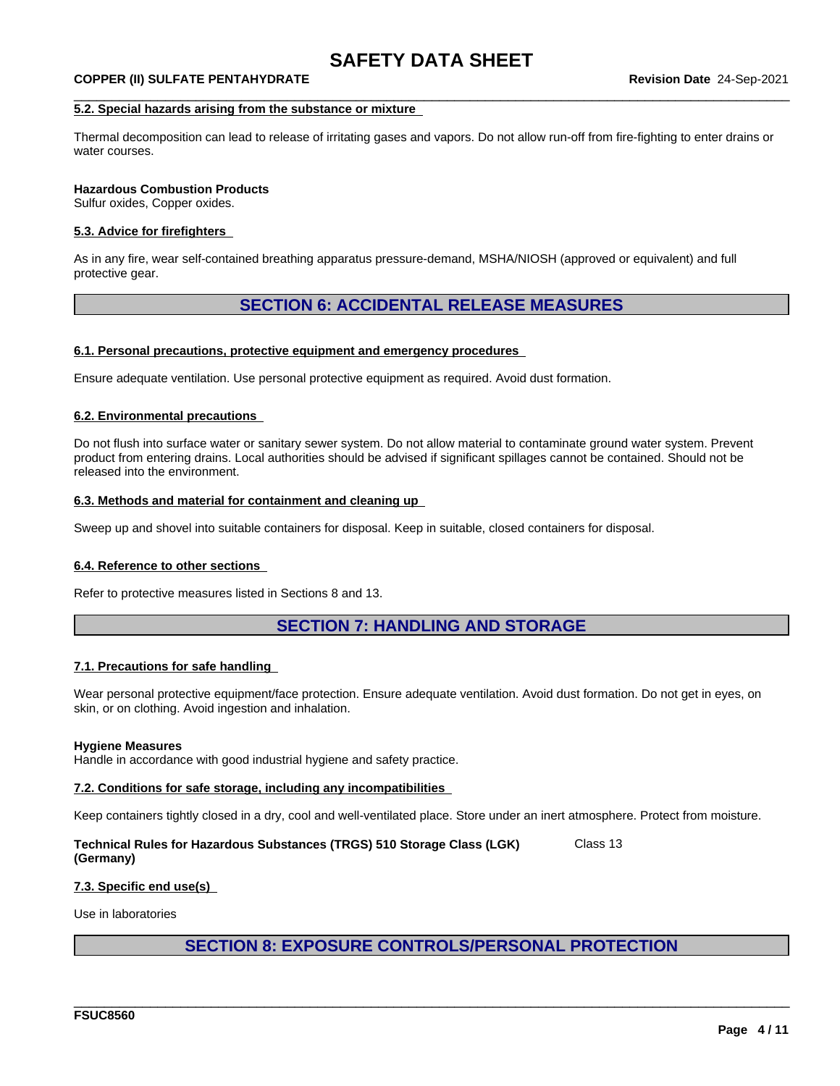#### \_\_\_\_\_\_\_\_\_\_\_\_\_\_\_\_\_\_\_\_\_\_\_\_\_\_\_\_\_\_\_\_\_\_\_\_\_\_\_\_\_\_\_\_\_\_\_\_\_\_\_\_\_\_\_\_\_\_\_\_\_\_\_\_\_\_\_\_\_\_\_\_\_\_\_\_\_\_\_\_\_\_\_\_\_\_\_\_\_\_\_\_\_\_ **COPPER (II) SULFATE PENTAHYDRATE Revision Date** 24-Sep-2021

#### **5.2. Special hazards arising from the substance or mixture**

Thermal decomposition can lead to release of irritating gases and vapors. Do not allow run-off from fire-fighting to enter drains or water courses.

#### **Hazardous Combustion Products**

Sulfur oxides, Copper oxides.

#### **5.3. Advice for firefighters**

As in any fire, wear self-contained breathing apparatus pressure-demand, MSHA/NIOSH (approved or equivalent) and full protective gear.

### **SECTION 6: ACCIDENTAL RELEASE MEASURES**

#### **6.1. Personal precautions, protective equipment and emergency procedures**

Ensure adequate ventilation. Use personal protective equipment as required. Avoid dust formation.

#### **6.2. Environmental precautions**

Do not flush into surface water or sanitary sewer system. Do not allow material to contaminate ground water system. Prevent product from entering drains. Local authorities should be advised if significant spillages cannot be contained. Should not be released into the environment.

#### **6.3. Methods and material for containment and cleaning up**

Sweep up and shovel into suitable containers for disposal. Keep in suitable, closed containers for disposal.

#### **6.4. Reference to other sections**

Refer to protective measures listed in Sections 8 and 13.

### **SECTION 7: HANDLING AND STORAGE**

#### **7.1. Precautions for safe handling**

Wear personal protective equipment/face protection. Ensure adequate ventilation. Avoid dust formation. Do not get in eyes, on skin, or on clothing. Avoid ingestion and inhalation.

#### **Hygiene Measures**

Handle in accordance with good industrial hygiene and safety practice.

#### **7.2. Conditions for safe storage, including any incompatibilities**

Keep containers tightly closed in a dry, cool and well-ventilated place. Store under an inert atmosphere. Protect from moisture.

**Technical Rules for Hazardous Substances (TRGS) 510 Storage Class (LGK) (Germany)** Class 13

#### **7.3. Specific end use(s)**

Use in laboratories

### **SECTION 8: EXPOSURE CONTROLS/PERSONAL PROTECTION**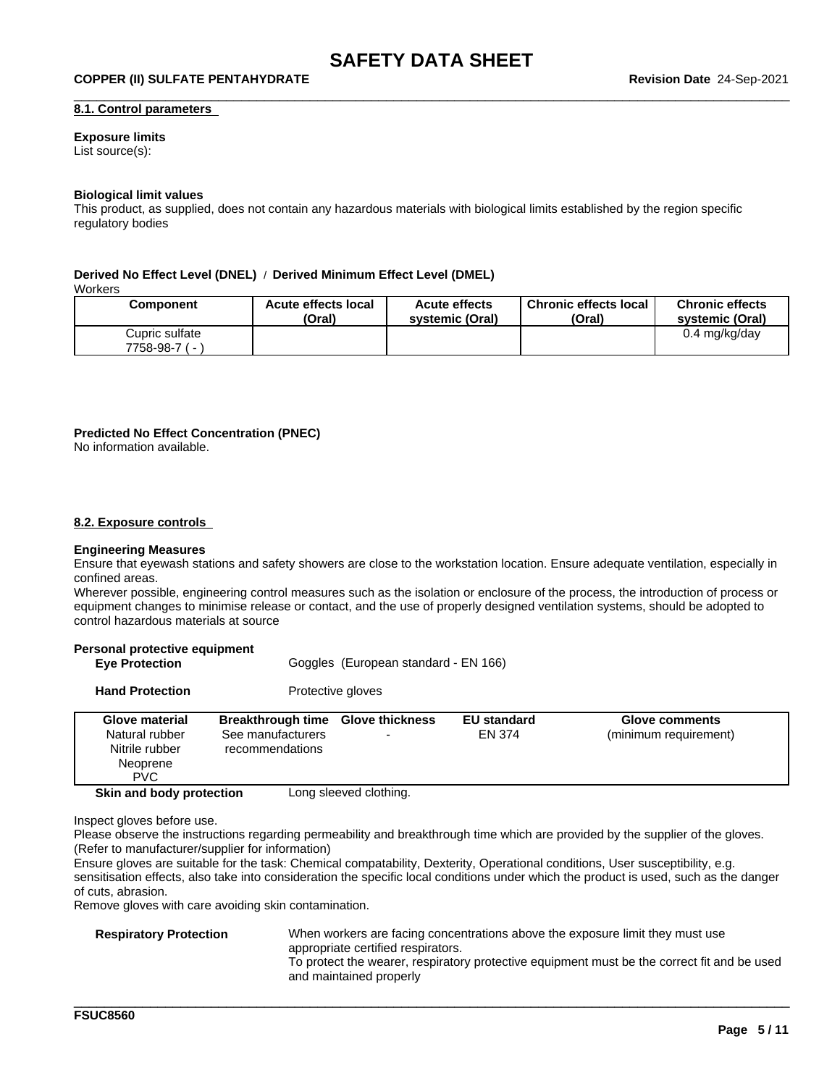#### **8.1. Control parameters**

#### **Exposure limits**

List source(s):

#### **Biological limit values**

This product, as supplied, does not contain any hazardous materials with biological limits established by the region specific regulatory bodies

#### **Derived No Effect Level (DNEL)** / **Derived Minimum Effect Level (DMEL)**

**Workers** 

| Component         | Acute effects local<br>(Oral) | <b>Acute effects</b><br>systemic (Oral) | <b>Chronic effects local</b><br>(Oral) | <b>Chronic effects</b><br>systemic (Oral) |
|-------------------|-------------------------------|-----------------------------------------|----------------------------------------|-------------------------------------------|
| Cupric sulfate    |                               |                                         |                                        | 0.4 mg/kg/day                             |
| $7758-98-7$ ( - , |                               |                                         |                                        |                                           |

#### **Predicted No Effect Concentration (PNEC)**

No information available.

#### **8.2. Exposure controls**

#### **Engineering Measures**

Ensure that eyewash stations and safety showers are close to the workstation location. Ensure adequate ventilation, especially in confined areas.

Wherever possible, engineering control measures such as the isolation or enclosure of the process, the introduction of process or equipment changes to minimise release or contact, and the use of properly designed ventilation systems, should be adopted to control hazardous materials at source

# **Personal protective equipment**

Goggles (European standard - EN 166)

| <b>Hand Protection</b>                                                              |                                                                           | Protective gloves      |                              |                                         |
|-------------------------------------------------------------------------------------|---------------------------------------------------------------------------|------------------------|------------------------------|-----------------------------------------|
| <b>Glove material</b><br>Natural rubber<br>Nitrile rubber<br>Neoprene<br><b>PVC</b> | Breakthrough time Glove thickness<br>See manufacturers<br>recommendations |                        | <b>EU standard</b><br>EN 374 | Glove comments<br>(minimum requirement) |
| Skin and body protection                                                            |                                                                           | Long sleeved clothing. |                              |                                         |

Inspect gloves before use.

Please observe the instructions regarding permeability and breakthrough time which are provided by the supplier of the gloves. (Refer to manufacturer/supplier for information)

Ensure gloves are suitable for the task: Chemical compatability, Dexterity, Operational conditions, User susceptibility, e.g. sensitisation effects, also take into consideration the specific local conditions under which the product is used, such as the danger of cuts, abrasion.

Remove gloves with care avoiding skin contamination.

# **Respiratory Protection** When workers are facing concentrations above the exposure limit they must use appropriate certified respirators.<br>To protect the wearer, respiratory protective equipment must be the correct fit and be used and maintained properly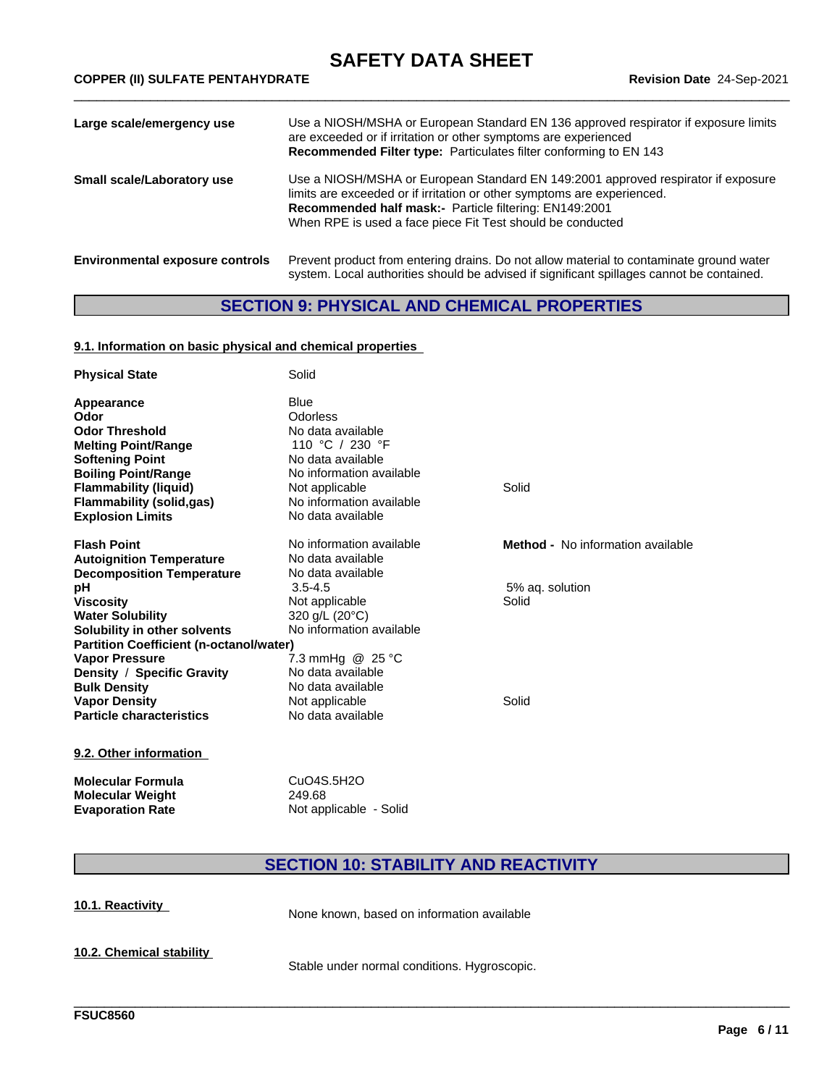| Large scale/emergency use              | Use a NIOSH/MSHA or European Standard EN 136 approved respirator if exposure limits<br>are exceeded or if irritation or other symptoms are experienced<br><b>Recommended Filter type:</b> Particulates filter conforming to EN 143                                                   |
|----------------------------------------|--------------------------------------------------------------------------------------------------------------------------------------------------------------------------------------------------------------------------------------------------------------------------------------|
| Small scale/Laboratory use             | Use a NIOSH/MSHA or European Standard EN 149:2001 approved respirator if exposure<br>limits are exceeded or if irritation or other symptoms are experienced.<br>Recommended half mask:- Particle filtering: EN149:2001<br>When RPE is used a face piece Fit Test should be conducted |
| <b>Environmental exposure controls</b> | Prevent product from entering drains. Do not allow material to contaminate ground water<br>system. Local authorities should be advised if significant spillages cannot be contained.                                                                                                 |

# **SECTION 9: PHYSICAL AND CHEMICAL PROPERTIES**

#### **9.1. Information on basic physical and chemical properties**

| <b>Physical State</b>                          | Solid                    |                                          |
|------------------------------------------------|--------------------------|------------------------------------------|
| Appearance                                     | Blue                     |                                          |
| Odor                                           | Odorless                 |                                          |
| <b>Odor Threshold</b>                          | No data available        |                                          |
| <b>Melting Point/Range</b>                     | 110 °C / 230 °F          |                                          |
| <b>Softening Point</b>                         | No data available        |                                          |
| <b>Boiling Point/Range</b>                     | No information available |                                          |
| <b>Flammability (liquid)</b>                   | Not applicable           | Solid                                    |
| <b>Flammability (solid,gas)</b>                | No information available |                                          |
| <b>Explosion Limits</b>                        | No data available        |                                          |
| <b>Flash Point</b>                             | No information available | <b>Method -</b> No information available |
| <b>Autoignition Temperature</b>                | No data available        |                                          |
| <b>Decomposition Temperature</b>               | No data available        |                                          |
| pH                                             | $3.5 - 4.5$              | 5% ag. solution                          |
| <b>Viscosity</b>                               | Not applicable           | Solid                                    |
| <b>Water Solubility</b>                        | 320 g/L (20°C)           |                                          |
| Solubility in other solvents                   | No information available |                                          |
| <b>Partition Coefficient (n-octanol/water)</b> |                          |                                          |
| <b>Vapor Pressure</b>                          | 7.3 mmHg @ 25 °C         |                                          |
| Density / Specific Gravity                     | No data available        |                                          |
| <b>Bulk Density</b>                            | No data available        |                                          |
| <b>Vapor Density</b>                           | Not applicable           | Solid                                    |
| <b>Particle characteristics</b>                | No data available        |                                          |
|                                                |                          |                                          |
|                                                |                          |                                          |

### **9.2. Other information**

**Molecular Formula**<br> **Molecular Weight CuO4S.5H2O**<br>
249.68 **Molecular Weight**<br>**Evaporation Rate Not applicable - Solid** 

# **SECTION 10: STABILITY AND REACTIVITY**

| 10.1. Reactivity         | None known, based on information available   |
|--------------------------|----------------------------------------------|
| 10.2. Chemical stability | Stable under normal conditions. Hygroscopic. |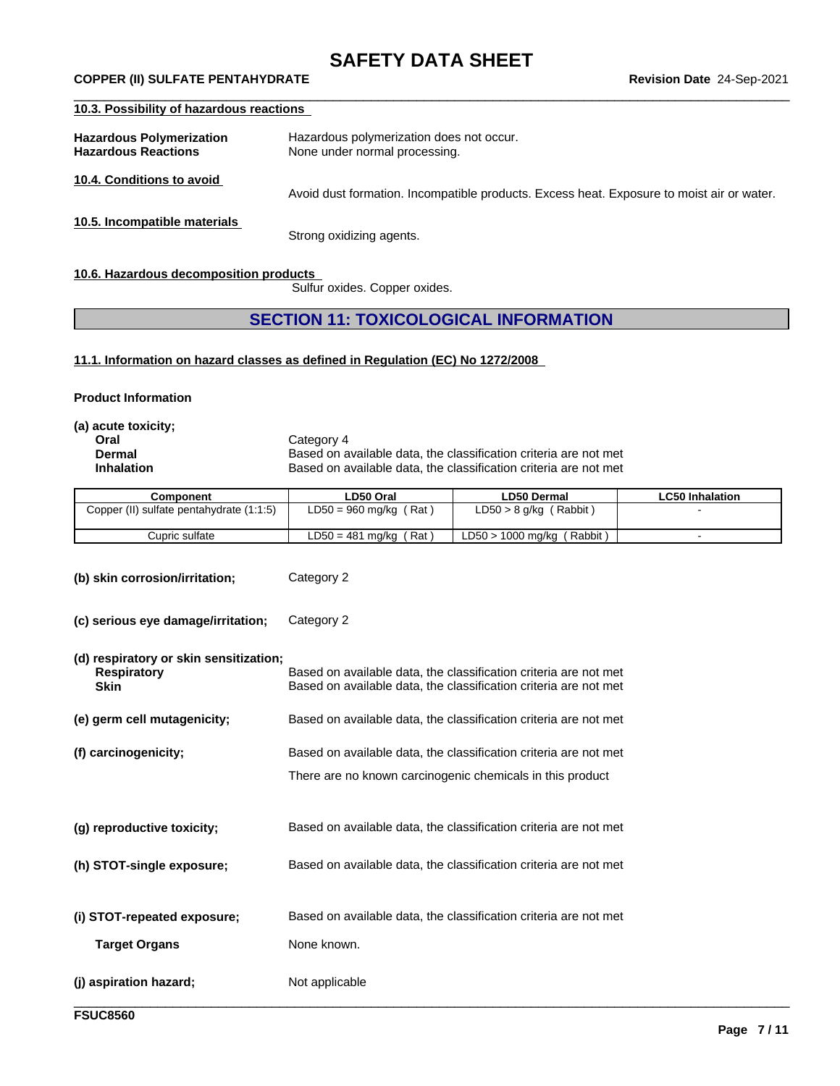#### \_\_\_\_\_\_\_\_\_\_\_\_\_\_\_\_\_\_\_\_\_\_\_\_\_\_\_\_\_\_\_\_\_\_\_\_\_\_\_\_\_\_\_\_\_\_\_\_\_\_\_\_\_\_\_\_\_\_\_\_\_\_\_\_\_\_\_\_\_\_\_\_\_\_\_\_\_\_\_\_\_\_\_\_\_\_\_\_\_\_\_\_\_\_ **COPPER (II) SULFATE PENTAHYDRATE Revision Date** 24-Sep-2021

#### **10.3. Possibility of hazardous reactions**

| <b>Hazardous Polymerization</b> | Hazardous polymerization does not occur. |
|---------------------------------|------------------------------------------|
| <b>Hazardous Reactions</b>      | None under normal processing.            |

**10.4. Conditions to avoid**

Avoid dust formation. Incompatible products. Excess heat. Exposure to moist air or water.

**10.5. Incompatible materials**

Strong oxidizing agents.

#### **10.6. Hazardous decomposition products**

Sulfur oxides. Copper oxides.

### **SECTION 11: TOXICOLOGICAL INFORMATION**

#### **11.1. Information on hazard classes as defined in Regulation (EC) No 1272/2008**

#### **Product Information**

**(a) acute toxicity;**

| Oral   |  |  |
|--------|--|--|
| Dermal |  |  |
|        |  |  |

**Oral** Category 4 Based on available data, the classification criteria are not met **Inhalation** Based on available data, the classification criteria are not met

\_\_\_\_\_\_\_\_\_\_\_\_\_\_\_\_\_\_\_\_\_\_\_\_\_\_\_\_\_\_\_\_\_\_\_\_\_\_\_\_\_\_\_\_\_\_\_\_\_\_\_\_\_\_\_\_\_\_\_\_\_\_\_\_\_\_\_\_\_\_\_\_\_\_\_\_\_\_\_\_\_\_\_\_\_\_\_\_\_\_\_\_\_\_

| Component                                | ∟D50 Oral                     | LD50 Dermal                     | <b>LC50 Inhalation</b> |
|------------------------------------------|-------------------------------|---------------------------------|------------------------|
| Copper (II) sulfate pentahydrate (1:1:5) | Rat<br>$LD50 = 960$ mg/kg $'$ | $LD50 > 8$ g/kg (Rabbit)        |                        |
| Cupric sulfate                           | Rat<br>$LD50 = 481$ mg/kg     | (Rabbit)<br>$LD50 > 1000$ mg/kg |                        |

| (b) skin corrosion/irritation;<br>Category 2 |
|----------------------------------------------|
|----------------------------------------------|

**(c) serious eye damage/irritation;** Category 2

**(d) respiratory or skin sensitization;**

| <b>Respiratory</b><br>Skin  | Based on available data, the classification criteria are not met<br>Based on available data, the classification criteria are not met |
|-----------------------------|--------------------------------------------------------------------------------------------------------------------------------------|
| (e) germ cell mutagenicity; | Based on available data, the classification criteria are not met                                                                     |
| (f) carcinogenicity;        | Based on available data, the classification criteria are not met<br>There are no known carcinogenic chemicals in this product        |
| (g) reproductive toxicity;  | Based on available data, the classification criteria are not met                                                                     |

- **(h) STOT-single exposure;** Based on available data, the classification criteria are not met
- **(i) STOT-repeated exposure;** Based on available data, the classification criteria are not met **Target Organs** None known.
	-
- **(j)** aspiration hazard; Not applicable

**FSUC8560**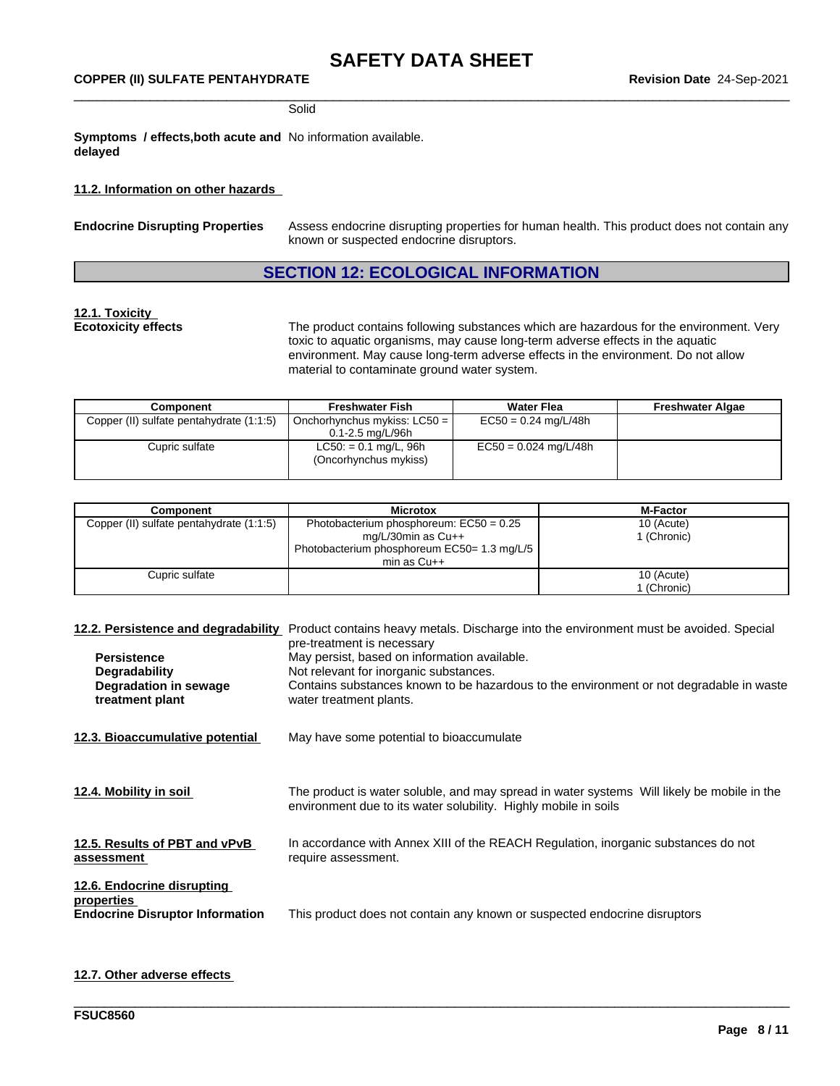Solid

**Symptoms / effects,both acute and** No information available. **delayed**

**11.2. Information on other hazards**

**Endocrine Disrupting Properties** Assess endocrine disrupting properties for human health. This product does not contain any known or suspected endocrine disruptors.

### **SECTION 12: ECOLOGICAL INFORMATION**

# **12.1. Toxicity**

**Ecotoxicity effects** The product contains following substances which are hazardous for the environment. Very toxic to aquatic organisms, may cause long-term adverse effects in the aquatic environment. May cause long-term adverse effects in the environment. Do not allow material to contaminate ground water system.

| <b>Component</b>                         | <b>Microtox</b>                             | <b>M-Factor</b> |
|------------------------------------------|---------------------------------------------|-----------------|
| Copper (II) sulfate pentahydrate (1:1:5) | Photobacterium phosphoreum: $EC50 = 0.25$   | 10 (Acute)      |
|                                          | mg/L/30min as $Cu++$                        | 1 (Chronic)     |
|                                          | Photobacterium phosphoreum EC50= 1.3 mg/L/5 |                 |
|                                          | $min$ as $Cut++$                            |                 |
| Cupric sulfate                           |                                             | 10 (Acute)      |
|                                          |                                             | 1 (Chronic)     |

### **12.2. Persistence and degradability** Product contains heavy metals. Discharge into the environment must be avoided. Special pre-treatment is necessary **Persistence** May persist, based on information available. **Degradability** Not relevant for inorganic substances. **Degradation in sewage treatment plant** Contains substances known to be hazardous to the environment or not degradable in waste water treatment plants. **12.3. Bioaccumulative potential** May have some potential to bioaccumulate **12.4. Mobility in soil** The product is water soluble, and may spread in water systems Will likely be mobile in the environment due to its water solubility. Highly mobile in soils **12.5. Results of PBT and vPvB assessment** In accordance with Annex XIII of the REACH Regulation, inorganic substances do not require assessment. **12.6. Endocrine disrupting properties Endocrine Disruptor Information** This product does not contain any known or suspected endocrine disruptors

\_\_\_\_\_\_\_\_\_\_\_\_\_\_\_\_\_\_\_\_\_\_\_\_\_\_\_\_\_\_\_\_\_\_\_\_\_\_\_\_\_\_\_\_\_\_\_\_\_\_\_\_\_\_\_\_\_\_\_\_\_\_\_\_\_\_\_\_\_\_\_\_\_\_\_\_\_\_\_\_\_\_\_\_\_\_\_\_\_\_\_\_\_\_

#### **12.7. Other adverse effects**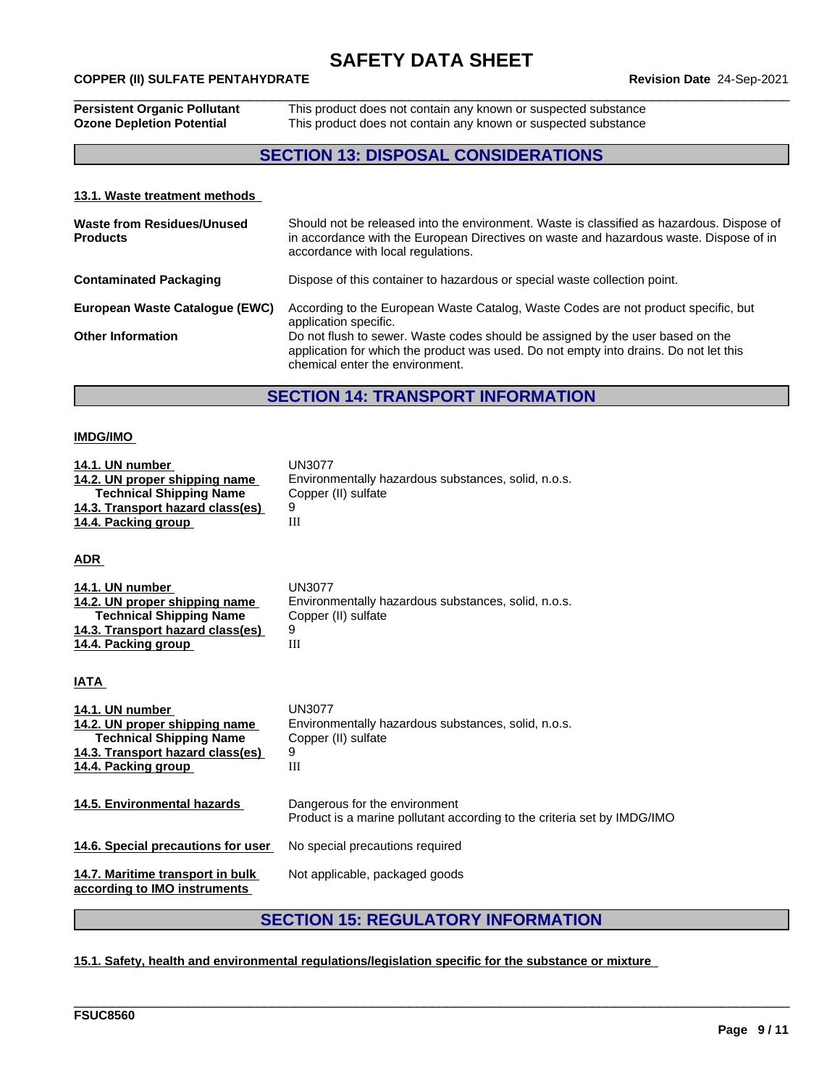\_\_\_\_\_\_\_\_\_\_\_\_\_\_\_\_\_\_\_\_\_\_\_\_\_\_\_\_\_\_\_\_\_\_\_\_\_\_\_\_\_\_\_\_\_\_\_\_\_\_\_\_\_\_\_\_\_\_\_\_\_\_\_\_\_\_\_\_\_\_\_\_\_\_\_\_\_\_\_\_\_\_\_\_\_\_\_\_\_\_\_\_\_\_ **COPPER (II) SULFATE PENTAHYDRATE Revision Date** 24-Sep-2021 **Persistent Organic Pollutant** This product does not contain any known or suspected substance<br> **Ozone Depletion Potential** This product does not contain any known or suspected substance This product does not contain any known or suspected substance

## **SECTION 13: DISPOSAL CONSIDERATIONS**

**13.1. Waste treatment methods**

| <b>Waste from Residues/Unused</b><br><b>Products</b> | Should not be released into the environment. Waste is classified as hazardous. Dispose of<br>in accordance with the European Directives on waste and hazardous waste. Dispose of in<br>accordance with local regulations. |
|------------------------------------------------------|---------------------------------------------------------------------------------------------------------------------------------------------------------------------------------------------------------------------------|
| <b>Contaminated Packaging</b>                        | Dispose of this container to hazardous or special waste collection point.                                                                                                                                                 |
| European Waste Catalogue (EWC)                       | According to the European Waste Catalog, Waste Codes are not product specific, but<br>application specific.                                                                                                               |
| <b>Other Information</b>                             | Do not flush to sewer. Waste codes should be assigned by the user based on the<br>application for which the product was used. Do not empty into drains. Do not let this<br>chemical enter the environment.                |

# **SECTION 14: TRANSPORT INFORMATION**

#### **IMDG/IMO**

| 14.1. UN number<br>14.2. UN proper shipping name | UN3077<br>Environmentally hazardous substances, solid, n.o.s. |
|--------------------------------------------------|---------------------------------------------------------------|
| <b>Technical Shipping Name</b>                   | Copper (II) sulfate                                           |
| 14.3. Transport hazard class(es)                 | 9                                                             |
| 14.4. Packing group                              | Ш                                                             |
| <b>ADR</b>                                       |                                                               |

| 14.1. UN number                  | UN3077                                              |
|----------------------------------|-----------------------------------------------------|
| 14.2. UN proper shipping name    | Environmentally hazardous substances, solid, n.o.s. |
| <b>Technical Shipping Name</b>   | Copper (II) sulfate                                 |
| 14.3. Transport hazard class(es) | 9                                                   |
| 14.4. Packing group              | Ш                                                   |

**IATA** 

| 14.1. UN number<br>14.2. UN proper shipping name<br><b>Technical Shipping Name</b><br>14.3. Transport hazard class(es)<br>14.4. Packing group | UN3077<br>Environmentally hazardous substances, solid, n.o.s.<br>Copper (II) sulfate<br>9<br>Ш           |
|-----------------------------------------------------------------------------------------------------------------------------------------------|----------------------------------------------------------------------------------------------------------|
| 14.5. Environmental hazards                                                                                                                   | Dangerous for the environment<br>Product is a marine pollutant according to the criteria set by IMDG/IMO |
| 14.6. Special precautions for user                                                                                                            | No special precautions required                                                                          |
| 14.7. Maritime transport in bulk<br>according to IMO instruments                                                                              | Not applicable, packaged goods                                                                           |

# **SECTION 15: REGULATORY INFORMATION**

\_\_\_\_\_\_\_\_\_\_\_\_\_\_\_\_\_\_\_\_\_\_\_\_\_\_\_\_\_\_\_\_\_\_\_\_\_\_\_\_\_\_\_\_\_\_\_\_\_\_\_\_\_\_\_\_\_\_\_\_\_\_\_\_\_\_\_\_\_\_\_\_\_\_\_\_\_\_\_\_\_\_\_\_\_\_\_\_\_\_\_\_\_\_

**15.1. Safety, health and environmental regulations/legislation specific for the substance or mixture**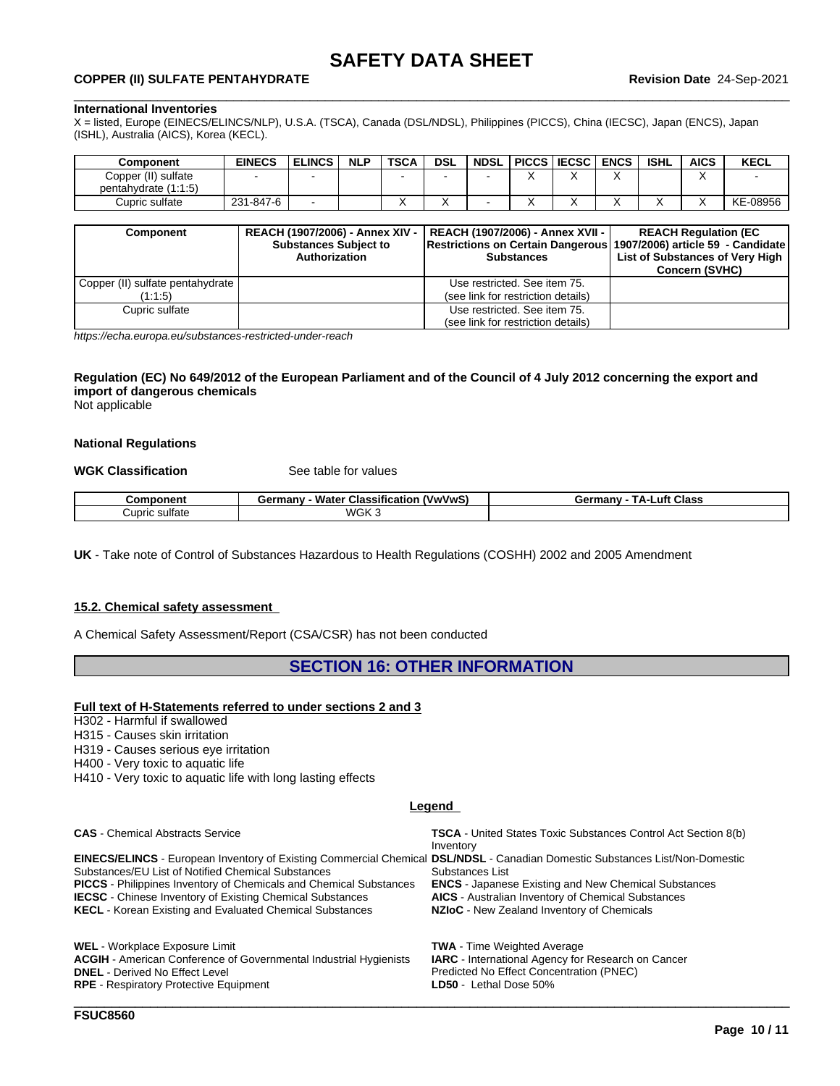#### \_\_\_\_\_\_\_\_\_\_\_\_\_\_\_\_\_\_\_\_\_\_\_\_\_\_\_\_\_\_\_\_\_\_\_\_\_\_\_\_\_\_\_\_\_\_\_\_\_\_\_\_\_\_\_\_\_\_\_\_\_\_\_\_\_\_\_\_\_\_\_\_\_\_\_\_\_\_\_\_\_\_\_\_\_\_\_\_\_\_\_\_\_\_ **COPPER (II) SULFATE PENTAHYDRATE Revision Date** 24-Sep-2021

#### **International Inventories**

X = listed, Europe (EINECS/ELINCS/NLP), U.S.A. (TSCA), Canada (DSL/NDSL), Philippines (PICCS), China (IECSC), Japan (ENCS), Japan (ISHL), Australia (AICS), Korea (KECL).

| Component                                   | <b>EINECS</b> | <b>ELINCS</b> | <b>NLP</b> | <b>TSCA</b> | <b>DSL</b> | <b>NDSL</b> | PICCS   IECSC | <b>ENCS</b> | <b>ISHL</b> | <b>AICS</b> | <b>KECL</b> |
|---------------------------------------------|---------------|---------------|------------|-------------|------------|-------------|---------------|-------------|-------------|-------------|-------------|
| Copper (II) sulfate<br>pentahydrate (1:1:5) |               |               |            |             |            |             |               |             |             |             |             |
| Cupric sulfate                              | 231-847-6     |               |            |             |            |             |               |             |             |             | KE-08956    |

| Component                                   | REACH (1907/2006) - Annex XIV -  <br><b>Substances Subject to</b><br>Authorization | REACH (1907/2006) - Annex XVII -  <br>Restrictions on Certain Dangerous (1907/2006) article 59 - Candidate<br><b>Substances</b> | <b>REACH Regulation (EC)</b><br>List of Substances of Very High<br><b>Concern (SVHC)</b> |
|---------------------------------------------|------------------------------------------------------------------------------------|---------------------------------------------------------------------------------------------------------------------------------|------------------------------------------------------------------------------------------|
| Copper (II) sulfate pentahydrate<br>(1:1:5) |                                                                                    | Use restricted. See item 75.<br>(see link for restriction details)                                                              |                                                                                          |
| Cupric sulfate                              |                                                                                    | Use restricted. See item 75.<br>(see link for restriction details)                                                              |                                                                                          |

*https://echa.europa.eu/substances-restricted-under-reach*

### Regulation (EC) No 649/2012 of the European Parliament and of the Council of 4 July 2012 concerning the export and **import of dangerous chemicals**

Not applicable

#### **National Regulations**

**WGK Classification** See table for values

| <b>Component</b>             | . .<br><br>Water<br>(VwVwS)<br>r Classification<br>Germany | Class<br>_uft<br>Germany<br>I Д. І |
|------------------------------|------------------------------------------------------------|------------------------------------|
| $\cdot$<br>sulfate<br>Cupric | WGK                                                        |                                    |

**UK** - Take note of Control of Substances Hazardous to Health Regulations (COSHH) 2002 and 2005 Amendment

#### **15.2. Chemical safety assessment**

A Chemical Safety Assessment/Report (CSA/CSR) has not been conducted

### **SECTION 16: OTHER INFORMATION**

#### **Full text of H-Statements referred to undersections 2 and 3**

H302 - Harmful if swallowed

H315 - Causes skin irritation

H319 - Causes serious eye irritation

**RPE** - Respiratory Protective Equipment

H400 - Very toxic to aquatic life

H410 - Very toxic to aquatic life with long lasting effects

#### **Legend**

\_\_\_\_\_\_\_\_\_\_\_\_\_\_\_\_\_\_\_\_\_\_\_\_\_\_\_\_\_\_\_\_\_\_\_\_\_\_\_\_\_\_\_\_\_\_\_\_\_\_\_\_\_\_\_\_\_\_\_\_\_\_\_\_\_\_\_\_\_\_\_\_\_\_\_\_\_\_\_\_\_\_\_\_\_\_\_\_\_\_\_\_\_\_

| <b>CAS</b> - Chemical Abstracts Service                                                                                      | <b>TSCA</b> - United States Toxic Substances Control Act Section 8(b)<br>Inventory |
|------------------------------------------------------------------------------------------------------------------------------|------------------------------------------------------------------------------------|
| EINECS/ELINCS - European Inventory of Existing Commercial Chemical DSL/NDSL - Canadian Domestic Substances List/Non-Domestic |                                                                                    |
| Substances/EU List of Notified Chemical Substances                                                                           | Substances List                                                                    |
| <b>PICCS</b> - Philippines Inventory of Chemicals and Chemical Substances                                                    | <b>ENCS</b> - Japanese Existing and New Chemical Substances                        |
| <b>IECSC</b> - Chinese Inventory of Existing Chemical Substances                                                             | <b>AICS</b> - Australian Inventory of Chemical Substances                          |
| <b>KECL</b> - Korean Existing and Evaluated Chemical Substances                                                              | NZIOC - New Zealand Inventory of Chemicals                                         |
| <b>WEL</b> - Workplace Exposure Limit                                                                                        | <b>TWA</b> - Time Weighted Average                                                 |
| <b>ACGIH</b> - American Conference of Governmental Industrial Hygienists                                                     | <b>IARC</b> - International Agency for Research on Cancer                          |

**DNEL** - Derived No Effect Level<br> **RPE** - Respiratory Protective Equipment<br> **RPE** - Respiratory Protective Equipment<br> **RPE** - Respiratory Protective Equipment